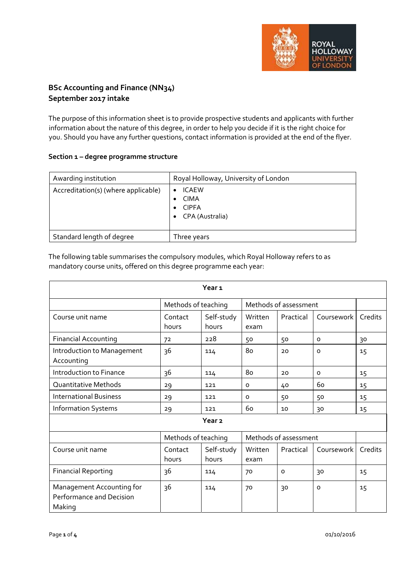

# **BSc Accounting and Finance (NN34) September 2017 intake**

The purpose of this information sheet is to provide prospective students and applicants with further information about the nature of this degree, in order to help you decide if it is the right choice for you. Should you have any further questions, contact information is provided at the end of the flyer.

## **Section 1 – degree programme structure**

| Awarding institution                | Royal Holloway, University of London                           |
|-------------------------------------|----------------------------------------------------------------|
| Accreditation(s) (where applicable) | <b>ICAEW</b><br><b>CIMA</b><br><b>CIPFA</b><br>CPA (Australia) |
| Standard length of degree           | Three years                                                    |

The following table summarises the compulsory modules, which Royal Holloway refers to as mandatory course units, offered on this degree programme each year:

| Year <sub>1</sub>                                               |                     |                     |                       |           |            |         |
|-----------------------------------------------------------------|---------------------|---------------------|-----------------------|-----------|------------|---------|
|                                                                 | Methods of teaching |                     | Methods of assessment |           |            |         |
| Course unit name                                                | Contact<br>hours    | Self-study<br>hours | Written<br>exam       | Practical | Coursework | Credits |
| <b>Financial Accounting</b>                                     | 72                  | 228                 | 50                    | 50        | $\circ$    | 30      |
| Introduction to Management<br>Accounting                        | 36                  | 114                 | 80                    | 20        | $\Omega$   | 15      |
| Introduction to Finance                                         | 36                  | 114                 | 80                    | 20        | $\circ$    | 15      |
| <b>Quantitative Methods</b>                                     | 29                  | 121                 | $\circ$               | 40        | 60         | 15      |
| <b>International Business</b>                                   | 29                  | 121                 | $\circ$               | 50        | 50         | 15      |
| <b>Information Systems</b>                                      | 29                  | 121                 | 60                    | 10        | 30         | 15      |
| Year <sub>2</sub>                                               |                     |                     |                       |           |            |         |
|                                                                 | Methods of teaching |                     | Methods of assessment |           |            |         |
| Course unit name                                                | Contact<br>hours    | Self-study<br>hours | Written<br>exam       | Practical | Coursework | Credits |
| <b>Financial Reporting</b>                                      | 36                  | 114                 | 70                    | $\Omega$  | 30         | 15      |
| Management Accounting for<br>Performance and Decision<br>Making | 36                  | 114                 | 70                    | 30        | $\circ$    | 15      |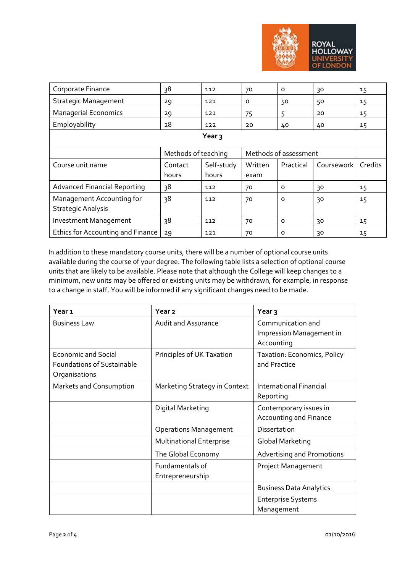

| Corporate Finance                                      | 38                  | 112                 | 70                    | $\Omega$  | 30         | 15      |
|--------------------------------------------------------|---------------------|---------------------|-----------------------|-----------|------------|---------|
| <b>Strategic Management</b>                            | 29                  | 121                 | O                     | 50        | 50         | 15      |
| <b>Managerial Economics</b>                            | 29                  | 121                 | 75                    | 5         | 20         | 15      |
| Employability                                          | 28                  | 122                 | 20                    | 40        | 40         | 15      |
| Year <sub>3</sub>                                      |                     |                     |                       |           |            |         |
|                                                        | Methods of teaching |                     | Methods of assessment |           |            |         |
| Course unit name                                       | Contact<br>hours    | Self-study<br>hours | Written<br>exam       | Practical | Coursework | Credits |
| <b>Advanced Financial Reporting</b>                    | 38                  | 112                 | 70                    | $\Omega$  | 30         | 15      |
| Management Accounting for<br><b>Strategic Analysis</b> | 38                  | 112                 | 70                    | $\circ$   | 30         | 15      |
|                                                        |                     |                     |                       |           |            |         |
| <b>Investment Management</b>                           | 38                  | 112                 | 70                    | $\Omega$  | 30         | 15      |

In addition to these mandatory course units, there will be a number of optional course units available during the course of your degree. The following table lists a selection of optional course units that are likely to be available. Please note that although the College will keep changes to a minimum, new units may be offered or existing units may be withdrawn, for example, in response to a change in staff. You will be informed if any significant changes need to be made.

| Year 1                                                                           | Year <sub>2</sub>                   | Year <sub>3</sub>                                           |
|----------------------------------------------------------------------------------|-------------------------------------|-------------------------------------------------------------|
| <b>Business Law</b>                                                              | <b>Audit and Assurance</b>          | Communication and<br>Impression Management in<br>Accounting |
| <b>Economic and Social</b><br><b>Foundations of Sustainable</b><br>Organisations | Principles of UK Taxation           | Taxation: Economics, Policy<br>and Practice                 |
| Markets and Consumption                                                          | Marketing Strategy in Context       | <b>International Financial</b><br>Reporting                 |
|                                                                                  | Digital Marketing                   | Contemporary issues in<br>Accounting and Finance            |
|                                                                                  | <b>Operations Management</b>        | Dissertation                                                |
|                                                                                  | <b>Multinational Enterprise</b>     | <b>Global Marketing</b>                                     |
|                                                                                  | The Global Economy                  | <b>Advertising and Promotions</b>                           |
|                                                                                  | Fundamentals of<br>Entrepreneurship | Project Management                                          |
|                                                                                  |                                     | <b>Business Data Analytics</b>                              |
|                                                                                  |                                     | <b>Enterprise Systems</b><br>Management                     |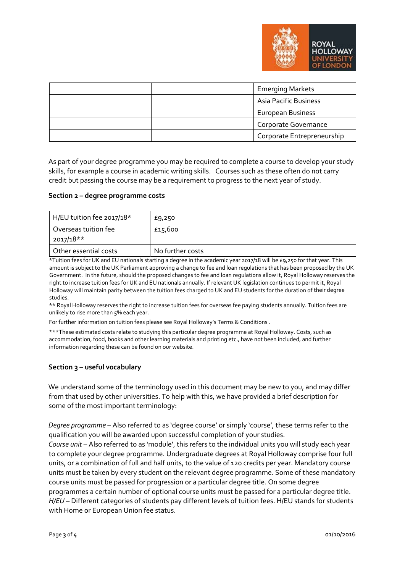

|  | <b>Emerging Markets</b>      |
|--|------------------------------|
|  | <b>Asia Pacific Business</b> |
|  | <b>European Business</b>     |
|  | Corporate Governance         |
|  | Corporate Entrepreneurship   |

As part of your degree programme you may be required to complete a course to develop your study skills, for example a course in academic writing skills. Courses such as these often do not carry credit but passing the course may be a requirement to progress to the next year of study.

#### **Section 2 – degree programme costs**

| H/EU tuition fee 2017/18*         | £9,250           |
|-----------------------------------|------------------|
| Overseas tuition fee<br>2017/18** | £15,600          |
| Other essential costs             | No further costs |

\*Tuition fees for UK and EU nationals starting a degree in the academic year 2017/18 will be £9,250 for that year. This amount is subject to the UK Parliament approving a change to fee and loan regulations that has been proposed by the UK Government. In the future, should the proposed changes to fee and loan regulations allow it, Royal Holloway reserves the right to increase tuition fees for UK and EU nationals annually. If relevant UK legislation continues to permit it, Royal Holloway will maintain parity between the tuition fees charged to UK and EU students for the duration of their degree studies.

\*\* Royal Holloway reserves the right to increase tuition fees for overseas fee paying students annually. Tuition fees are unlikely to rise more than 5% each year.

For further information on tuition fees please see Royal Holloway's Terms & Conditions .

\*\*\*These estimated costs relate to studying this particular degree programme at Royal Holloway. Costs, such as accommodation, food, books and other learning materials and printing etc., have not been included, and further information regarding these can be found on our website.

#### **Section 3 – useful vocabulary**

We understand some of the terminology used in this document may be new to you, and may differ from that used by other universities. To help with this, we have provided a brief description for some of the most important terminology:

*Degree programme* – Also referred to as 'degree course' or simply 'course', these terms refer to the qualification you will be awarded upon successful completion of your studies.

*Course unit* – Also referred to as 'module', this refers to the individual units you will study each year to complete your degree programme. Undergraduate degrees at Royal Holloway comprise four full units, or a combination of full and half units, to the value of 120 credits per year. Mandatory course units must be taken by every student on the relevant degree programme. Some of these mandatory course units must be passed for progression or a particular degree title. On some degree programmes a certain number of optional course units must be passed for a particular degree title. *H/EU* – Different categories of students pay different levels of tuition fees. H/EU stands for students with Home or European Union fee status.